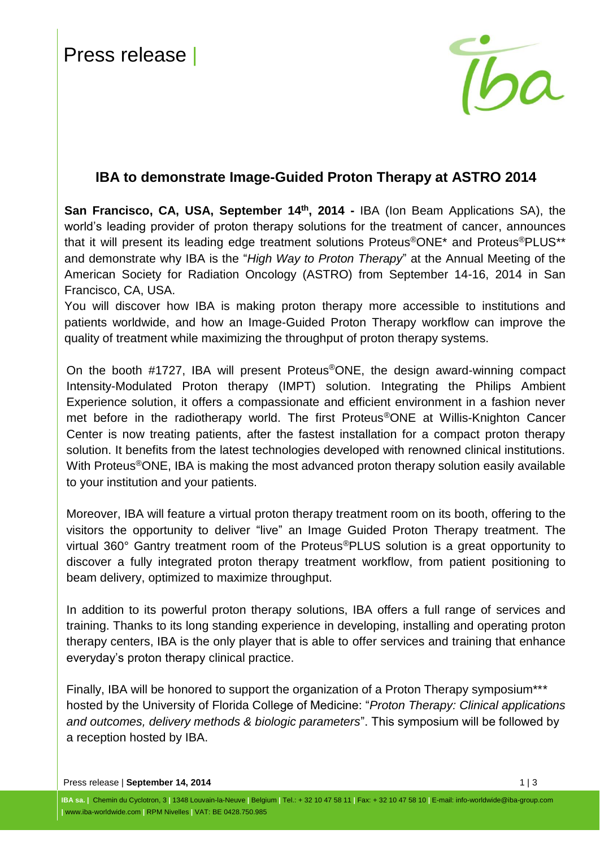

## **IBA to demonstrate Image-Guided Proton Therapy at ASTRO 2014**

**San Francisco, CA, USA, September 14<sup>th</sup>, 2014 - IBA [\(Ion Beam Applications SA\)](http://group.iba-worldwide.com/iba-solutions), the** world's leading provider of proton therapy solutions for the treatment of cancer, announces that it will present its leading edge treatment solutions Proteus®ONE\* and Proteus®PLUS\*\* and demonstrate why IBA is the "*High Way to Proton Therapy*" at the Annual Meeting of the American Society for Radiation Oncology (ASTRO) from September 14-16, 2014 in San Francisco, CA, USA.

You will discover how IBA is making proton therapy more accessible to institutions and patients worldwide, and how an Image-Guided Proton Therapy workflow can improve the quality of treatment while maximizing the throughput of proton therapy systems.

On the booth #1727, IBA will present Proteus®ONE, the design award-winning compact Intensity-Modulated Proton therapy (IMPT) solution. Integrating the Philips Ambient Experience solution, it offers a compassionate and efficient environment in a fashion never met before in the radiotherapy world. The first Proteus®ONE at Willis-Knighton Cancer Center is now treating patients, after the fastest installation for a compact proton therapy solution. It benefits from the latest technologies developed with renowned clinical institutions. With Proteus<sup>®</sup>ONE, IBA is making the most advanced proton therapy solution easily available to your institution and your patients.

Moreover, IBA will feature a virtual proton therapy treatment room on its booth, offering to the visitors the opportunity to deliver "live" an Image Guided Proton Therapy treatment. The virtual 360° Gantry treatment room of the Proteus®PLUS solution is a great opportunity to discover a fully integrated proton therapy treatment workflow, from patient positioning to beam delivery, optimized to maximize throughput.

In addition to its powerful proton therapy solutions, IBA offers a full range of services and training. Thanks to its long standing experience in developing, installing and operating proton therapy centers, IBA is the only player that is able to offer services and training that enhance everyday's proton therapy clinical practice.

Finally, IBA will be honored to support the organization of a Proton Therapy symposium<sup>\*\*\*</sup> hosted by the University of Florida College of Medicine: "*Proton Therapy: Clinical applications and outcomes, delivery methods & biologic parameters*". This symposium will be followed by a reception hosted by IBA.

Press release | September 14, 2014 **1 | 3**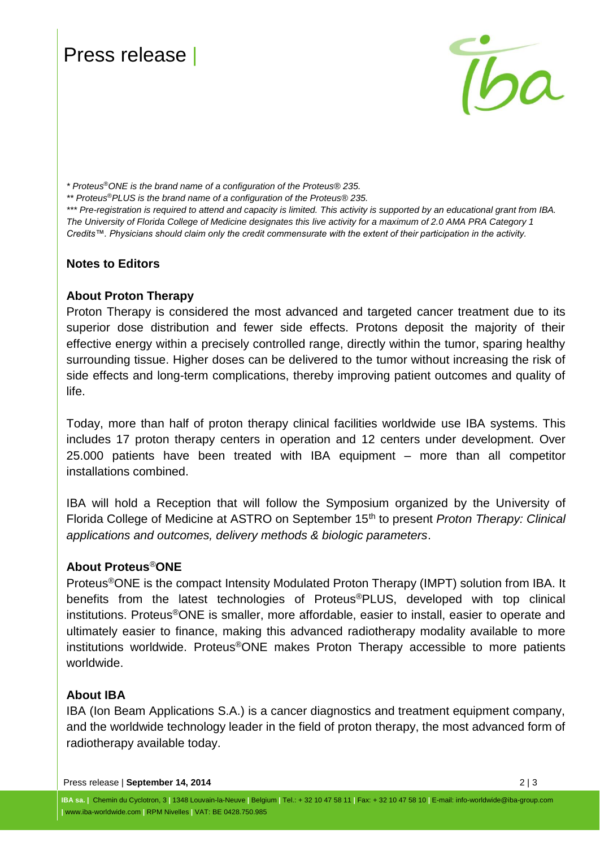# Press release |



*\* Proteus*®*ONE is the brand name of a configuration of the Proteus® 235.*

*\*\* Proteus* ®*PLUS is the brand name of a configuration of the Proteus® 235.*

\*\*\* Pre-registration is required to attend and capacity is limited. This activity is supported by an educational grant from IBA. *The University of Florida College of Medicine designates this live activity for a maximum of 2.0 AMA PRA Category 1 Credits™. Physicians should claim only the credit commensurate with the extent of their participation in the activity.*

### **Notes to Editors**

### **About Proton Therapy**

Proton Therapy is considered the most advanced and targeted cancer treatment due to its superior dose distribution and fewer side effects. Protons deposit the majority of their effective energy within a precisely controlled range, directly within the tumor, sparing healthy surrounding tissue. Higher doses can be delivered to the tumor without increasing the risk of side effects and long-term complications, thereby improving patient outcomes and quality of life.

Today, more than half of proton therapy clinical facilities worldwide use IBA systems. This includes 17 proton therapy centers in operation and 12 centers under development. Over 25.000 patients have been treated with IBA equipment – more than all competitor installations combined.

IBA will hold a Reception that will follow the Symposium organized by the University of Florida College of Medicine at ASTRO on September 15th to present *Proton Therapy: Clinical applications and outcomes, delivery methods & biologic parameters*.

### **About Proteus**®**ONE**

Proteus®ONE is the compact Intensity Modulated Proton Therapy (IMPT) solution from IBA. It benefits from the latest technologies of Proteus®PLUS, developed with top clinical institutions. Proteus®ONE is smaller, more affordable, easier to install, easier to operate and ultimately easier to finance, making this advanced radiotherapy modality available to more institutions worldwide. Proteus®ONE makes Proton Therapy accessible to more patients worldwide.

#### **About IBA**

IBA (Ion Beam Applications S.A.) is a cancer diagnostics and treatment equipment company, and the worldwide technology leader in the field of proton therapy, the most advanced form of radiotherapy available today.

Press release | **September 14, 2014** 2 | 3